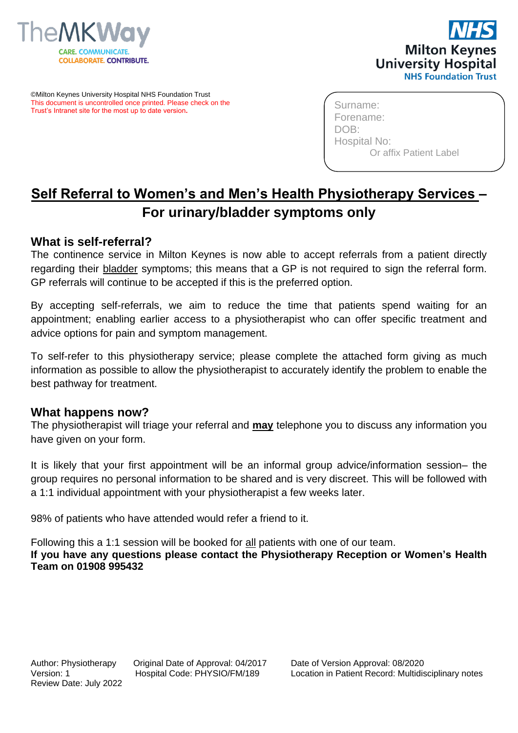



©Milton Keynes University Hospital NHS Foundation Trust This document is uncontrolled once printed. Please check on the Trust's Intranet site for the most up to date version**.**

Surname: Forename: DOB: Hospital No: Or affix Patient Label

## **Self Referral to Women's and Men's Health Physiotherapy Services – For urinary/bladder symptoms only**

## **What is self-referral?**

The continence service in Milton Keynes is now able to accept referrals from a patient directly regarding their bladder symptoms; this means that a GP is not required to sign the referral form. GP referrals will continue to be accepted if this is the preferred option.

By accepting self-referrals, we aim to reduce the time that patients spend waiting for an appointment; enabling earlier access to a physiotherapist who can offer specific treatment and advice options for pain and symptom management.

To self-refer to this physiotherapy service; please complete the attached form giving as much information as possible to allow the physiotherapist to accurately identify the problem to enable the best pathway for treatment.

## **What happens now?**

The physiotherapist will triage your referral and **may** telephone you to discuss any information you have given on your form.

It is likely that your first appointment will be an informal group advice/information session– the group requires no personal information to be shared and is very discreet. This will be followed with a 1:1 individual appointment with your physiotherapist a few weeks later.

98% of patients who have attended would refer a friend to it.

Following this a 1:1 session will be booked for all patients with one of our team. **If you have any questions please contact the Physiotherapy Reception or Women's Health Team on 01908 995432**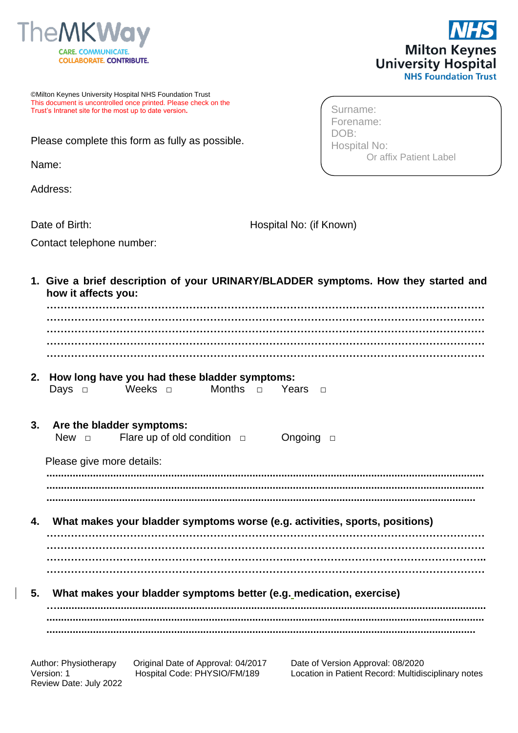



Or affix Patient Label

©Milton Keynes University Hospital NHS Foundation Trust This document is uncontrolled once printed. Please check on the Trust's Intranet site for the most up to date version**.**

Please complete this form as fully as possible.

Name:

Address:

Contact telephone number:

Date of Birth: Hospital No: (if Known)

Surname: Forename: DOB:

Hospital No:

**1. Give a brief description of your URINARY/BLADDER symptoms. How they started and how it affects you: ……………………………………………………………………………………………………………… ……………………………………………………………………………………………………………… ……………………………………………………………………………………………………………… ……………………………………………………………………………………………………………… ……………………………………………………………………………………………………………… 2. How long have you had these bladder symptoms:** Days □ Weeks □ Months □ Years □ **3. Are the bladder symptoms:** New □ Flare up of old condition □ Ongoing □ Please give more details: **....................................................................................................................................................... ....................................................................................................................................................... .................................................................................................................................................... 4. What makes your bladder symptoms worse (e.g. activities, sports, positions) ……………………………………………………………………………………………………………… ……………………………………………………………………………………………………………… ……………………………………………………………..……………………………………………….. ……………………………………………………………………………………………………………… 5. What makes your bladder symptoms better (e.g. medication, exercise) ….................................................................................................................................................... ....................................................................................................................................................... ....................................................................................................................................................**

Review Date: July 2022

Author: Physiotherapy Original Date of Approval: 04/2017 Date of Version Approval: 08/2020 Version: 1 Hospital Code: PHYSIO/FM/189 Location in Patient Record: Multidisciplinary notes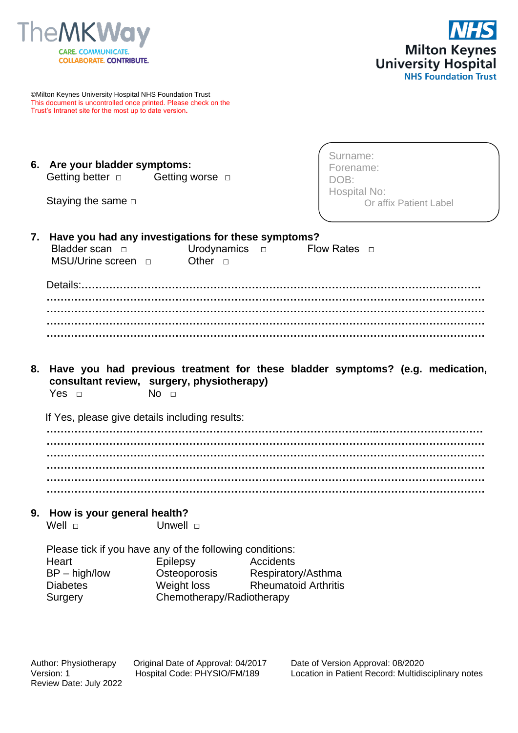



©Milton Keynes University Hospital NHS Foundation Trust This document is uncontrolled once printed. Please check on the Trust's Intranet site for the most up to date version**.**

| 6. Are your bladder symptoms: |  |                      |  |  |  |
|-------------------------------|--|----------------------|--|--|--|
| Getting better $\Box$         |  | Getting worse $\Box$ |  |  |  |

Staying the same □

Surname: Forename: DOB: Hospital No: Or affix Patient Label

| 7. Have you had any investigations for these symptoms? |  |  |  |  |
|--------------------------------------------------------|--|--|--|--|
| Bladder scan a Urodynamics a Flow Rates a              |  |  |  |  |
| MSU/Urine screen a Other n                             |  |  |  |  |
|                                                        |  |  |  |  |
|                                                        |  |  |  |  |
|                                                        |  |  |  |  |
|                                                        |  |  |  |  |

**……………………………………………………………………………………………………………… ……………………………………………………………………………………………………………… ………………………………………………………………………………………………………………**

**8. Have you had previous treatment for these bladder symptoms? (e.g. medication, consultant review, surgery, physiotherapy)** Yes  $\Box$  No  $\Box$ 

If Yes, please give details including results:

**…………………….……………………………………………………………..………………………… ……………………………………………………………………………………………………………… ……………………………………………………………………………………………………………… ……………………………………………………………………………………………………………… ……………………………………………………………………………………………………………… ………………………………………………………………………………………………………………**

**9. How is your general health?**

Well □ Unwell □

Please tick if you have any of the following conditions: Heart **Epilepsy** Accidents BP – high/low **Osteoporosis** Respiratory/Asthma Diabetes Weight loss Rheumatoid Arthritis Surgery Chemotherapy/Radiotherapy

Review Date: July 2022